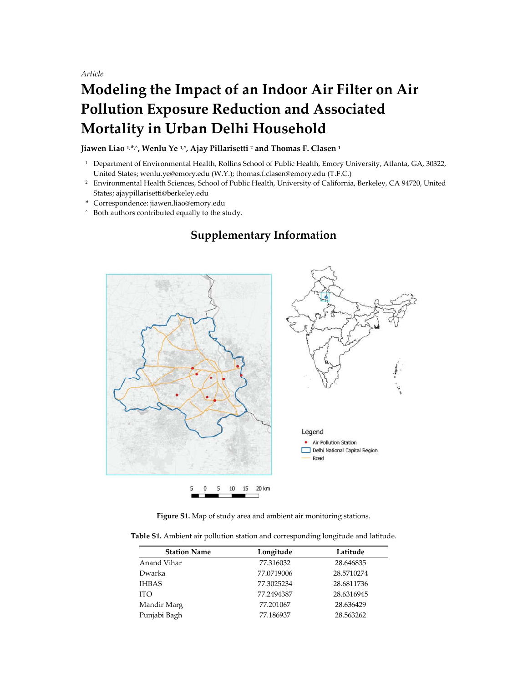*Article*

## **Modeling the Impact of an Indoor Air Filter on Air Pollution Exposure Reduction and Associated Mortality in Urban Delhi Household**

Jiawen Liao <sup>1,\*,</sup><sup>\*</sup>, Wenlu Ye <sup>1, $\hat{ }$ </sup>, Ajay Pillarisetti <sup>2</sup> and Thomas F. Clasen <sup>1</sup>

- <sup>1</sup> Department of Environmental Health, Rollins School of Public Health, Emory University, Atlanta, GA, 30322, United States; wenlu.ye@emory.edu (W.Y.); thomas.f.clasen@emory.edu (T.F.C.)
- <sup>2</sup> Environmental Health Sciences, School of Public Health, University of California, Berkeley, CA 94720, United States; ajaypillarisetti@berkeley.edu
- **\*** Correspondence: jiawen.liao@emory.edu
- Both authors contributed equally to the study.

## **Supplementary Information**



**Figure S1.** Map of study area and ambient air monitoring stations.

**Table S1.** Ambient air pollution station and corresponding longitude and latitude.

| <b>Station Name</b> | Longitude  | Latitude   |
|---------------------|------------|------------|
| Anand Vihar         | 77.316032  | 28.646835  |
| Dwarka              | 77.0719006 | 28.5710274 |
| <b>IHBAS</b>        | 77.3025234 | 28.6811736 |
| <b>ITO</b>          | 77.2494387 | 28.6316945 |
| Mandir Marg         | 77.201067  | 28.636429  |
| Punjabi Bagh        | 77.186937  | 28.563262  |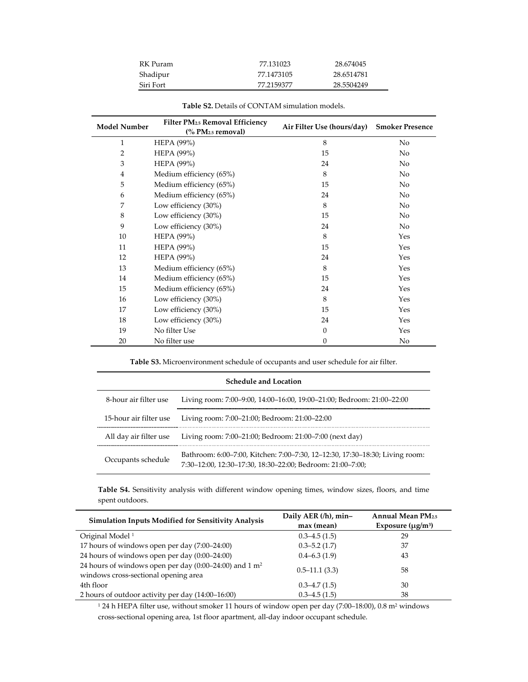| RK Puram  | 77.131023  | 28.674045  |
|-----------|------------|------------|
| Shadipur  | 77.1473105 | 28.6514781 |
| Siri Fort | 77.2159377 | 28.5504249 |

| <b>Model Number</b> | <b>Filter PM25 Removal Efficiency</b><br>(% PM <sub>2.5</sub> removal) | Air Filter Use (hours/day) | <b>Smoker Presence</b> |
|---------------------|------------------------------------------------------------------------|----------------------------|------------------------|
| 1                   | <b>HEPA</b> (99%)                                                      | 8                          | No                     |
| $\overline{2}$      | <b>HEPA</b> (99%)                                                      | 15                         | No                     |
| 3                   | <b>HEPA</b> (99%)                                                      | 24                         | No                     |
| $\overline{4}$      | Medium efficiency (65%)                                                | 8                          | $\rm No$               |
| 5                   | Medium efficiency (65%)                                                | 15                         | $\rm No$               |
| 6                   | Medium efficiency (65%)                                                | 24                         | $\rm No$               |
| 7                   | Low efficiency (30%)                                                   | 8                          | $\rm No$               |
| 8                   | Low efficiency (30%)                                                   | 15                         | No.                    |
| 9                   | Low efficiency (30%)                                                   | 24                         | No                     |
| 10                  | <b>HEPA</b> (99%)                                                      | 8                          | Yes                    |
| 11                  | <b>HEPA</b> (99%)                                                      | 15                         | Yes                    |
| 12                  | <b>HEPA</b> (99%)                                                      | 24                         | Yes                    |
| 13                  | Medium efficiency (65%)                                                | 8                          | Yes                    |
| 14                  | Medium efficiency (65%)                                                | 15                         | Yes                    |
| 15                  | Medium efficiency (65%)                                                | 24                         | Yes                    |
| 16                  | Low efficiency (30%)                                                   | 8                          | Yes                    |
| 17                  | Low efficiency (30%)                                                   | 15                         | Yes                    |
| 18                  | Low efficiency (30%)                                                   | 24                         | Yes                    |
| 19                  | No filter Use                                                          | $\boldsymbol{0}$           | Yes                    |
| 20                  | No filter use                                                          | $\boldsymbol{0}$           | No                     |

|  | <b>Table S2.</b> Details of CONTAM simulation models. |
|--|-------------------------------------------------------|
|--|-------------------------------------------------------|

**Table S3.** Microenvironment schedule of occupants and user schedule for air filter.

| <b>Schedule and Location</b> |                                                                                                                                            |  |
|------------------------------|--------------------------------------------------------------------------------------------------------------------------------------------|--|
| 8-hour air filter use        | Living room: 7:00–9:00, 14:00–16:00, 19:00–21:00; Bedroom: 21:00–22:00                                                                     |  |
| 15-hour air filter use       | Living room: 7:00–21:00; Bedroom: 21:00–22:00                                                                                              |  |
| All day air filter use       | Living room: 7:00–21:00; Bedroom: 21:00–7:00 (next day)                                                                                    |  |
| Occupants schedule           | Bathroom: 6:00–7:00, Kitchen: 7:00–7:30, 12–12:30, 17:30–18:30; Living room:<br>7:30-12:00, 12:30-17:30, 18:30-22:00; Bedroom: 21:00-7:00; |  |

**Table S4.** Sensitivity analysis with different window opening times, window sizes, floors, and time spent outdoors.

| <b>Simulation Inputs Modified for Sensitivity Analysis</b>                                                   | Daily AER (/h), min- | <b>Annual Mean PM2.5</b> |
|--------------------------------------------------------------------------------------------------------------|----------------------|--------------------------|
|                                                                                                              | max (mean)           | Exposure $(\mu g/m^3)$   |
| Original Model <sup>1</sup>                                                                                  | $0.3 - 4.5(1.5)$     | 29                       |
| 17 hours of windows open per day (7:00–24:00)                                                                | $0.3 - 5.2(1.7)$     | 37                       |
| 24 hours of windows open per day (0:00–24:00)                                                                | $0.4 - 6.3(1.9)$     | 43                       |
| 24 hours of windows open per day $(0.00-24.00)$ and 1 m <sup>2</sup><br>windows cross-sectional opening area | $0.5 - 11.1(3.3)$    | 58                       |
| 4th floor                                                                                                    | $0.3 - 4.7(1.5)$     | 30                       |
| 2 hours of outdoor activity per day (14:00–16:00)                                                            | $0.3 - 4.5(1.5)$     | 38                       |

 $^{\rm 1}$  24 h HEPA filter use, without smoker 11 hours of window open per day (7:00–18:00), 0.8 m² windows cross-sectional opening area, 1st floor apartment, all-day indoor occupant schedule.